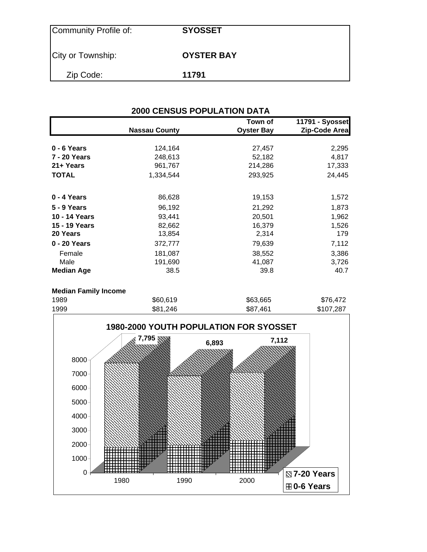| Community Profile of: | <b>SYOSSET</b>    |
|-----------------------|-------------------|
| City or Township:     | <b>OYSTER BAY</b> |
| Zip Code:             | 11791             |

| <b>2000 CENSUS POPULATION DATA</b> |                      |                              |                                  |  |  |
|------------------------------------|----------------------|------------------------------|----------------------------------|--|--|
|                                    | <b>Nassau County</b> | Town of<br><b>Oyster Bay</b> | 11791 - Syosset<br>Zip-Code Area |  |  |
| 0 - 6 Years                        | 124,164              | 27,457                       | 2,295                            |  |  |
| <b>7 - 20 Years</b>                | 248,613              | 52,182                       | 4,817                            |  |  |
| 21+ Years                          | 961,767              | 214,286                      | 17,333                           |  |  |
| <b>TOTAL</b>                       | 1,334,544            | 293,925                      | 24,445                           |  |  |
| 0 - 4 Years                        | 86,628               | 19,153                       | 1,572                            |  |  |
| 5 - 9 Years                        | 96,192               | 21,292                       | 1,873                            |  |  |
| 10 - 14 Years                      | 93,441               | 20,501                       | 1,962                            |  |  |
| 15 - 19 Years                      | 82,662               | 16,379                       | 1,526                            |  |  |
| 20 Years                           | 13,854               | 2,314                        | 179                              |  |  |
| 0 - 20 Years                       | 372,777              | 79,639                       | 7,112                            |  |  |
| Female                             | 181,087              | 38,552                       | 3,386                            |  |  |
| Male                               | 191,690              | 41,087                       | 3,726                            |  |  |
| <b>Median Age</b>                  | 38.5                 | 39.8                         | 40.7                             |  |  |

#### **Median Family Income**

| 1989 | \$60,619 | \$63,665 | \$76,472  |
|------|----------|----------|-----------|
| 1999 | \$81,246 | \$87,461 | \$107,287 |

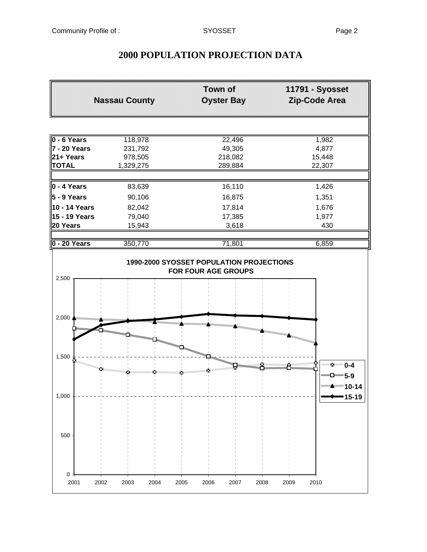0

500

# **Town of 11791 - Syosset Nassau County Oyster Bay Zip-Code Area 0 - 6 Years** 118,978 22,496 22,496 1,982 **7 - 20 Years** 231,792 49,305 4,877 **21+ Years** 978,505 218,082 15,448<br>**TOTAL** 1,329,275 289,884 285,307 1,329,275 **0 - 4 Years** 83,639 16,110 1,426 **5 - 9 Years** 90,106 16,875 1,351 **10 - 14 Years** 82,042 17,814 1,676 **15 - 19 Years** 79,040 17,385 1,977 **20 Years** 15,943 3,618 3,618 430 **0 - 20 Years** 350,770 71,801 6,859 **1990-2000 SYOSSET POPULATION PROJECTIONS FOR FOUR AGE GROUPS** 2,500 2,000 1,500 图 **0-4** × ×. x **5-9 10-14** 1,000 **15-19**

2001 2002 2003 2004 2005 2006 2007 2008 2009 2010

### **2000 POPULATION PROJECTION DATA**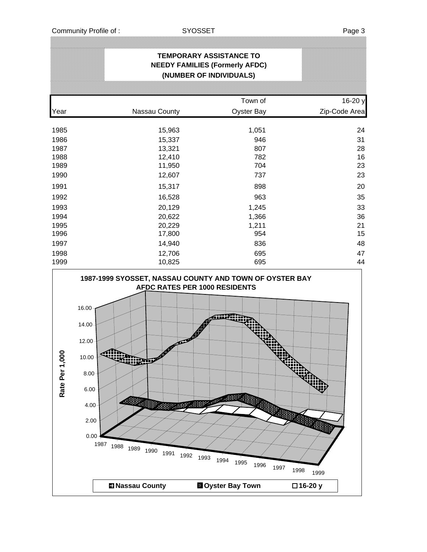#### **TEMPORARY ASSISTANCE TO NEEDY FAMILIES (Formerly AFDC) (NUMBER OF INDIVIDUALS)**

|      |               | Town of           | 16-20 y       |
|------|---------------|-------------------|---------------|
| Year | Nassau County | <b>Oyster Bay</b> | Zip-Code Area |
|      |               |                   |               |
| 1985 | 15,963        | 1,051             | 24            |
| 1986 | 15,337        | 946               | 31            |
| 1987 | 13,321        | 807               | 28            |
| 1988 | 12,410        | 782               | 16            |
| 1989 | 11,950        | 704               | 23            |
| 1990 | 12,607        | 737               | 23            |
| 1991 | 15,317        | 898               | 20            |
| 1992 | 16,528        | 963               | 35            |
| 1993 | 20,129        | 1,245             | 33            |
| 1994 | 20,622        | 1,366             | 36            |
| 1995 | 20,229        | 1,211             | 21            |
| 1996 | 17,800        | 954               | 15            |
| 1997 | 14,940        | 836               | 48            |
| 1998 | 12,706        | 695               | 47            |
| 1999 | 10,825        | 695               | 44            |

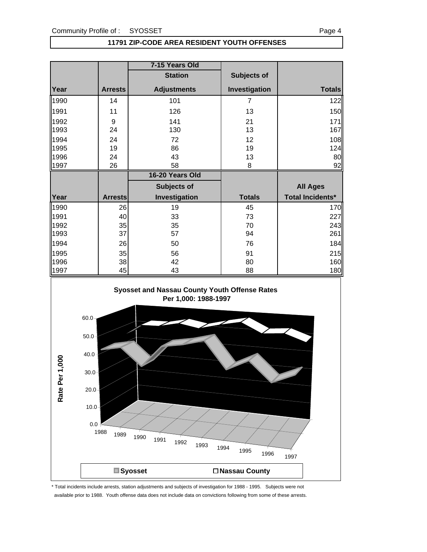#### **11791 ZIP-CODE AREA RESIDENT YOUTH OFFENSES**

|              |                | 7-15 Years Old     |                |                         |
|--------------|----------------|--------------------|----------------|-------------------------|
|              |                | <b>Station</b>     | Subjects of    |                         |
| Year         | <b>Arrests</b> | <b>Adjustments</b> | Investigation  | <b>Totals</b>           |
| 1990         | 14             | 101                | $\overline{7}$ | 122                     |
| 1991         | 11             | 126                | 13             | 150                     |
| 1992         | 9              | 141                | 21             | 171                     |
| 1993         | 24             | 130                | 13             | 167                     |
| 1994         | 24             | 72                 | 12             | 108                     |
| 1995         | 19             | 86                 | 19             | 124                     |
| 1996         | 24             | 43                 | 13             | 80                      |
| 1997         | 26             | 58                 | 8              | 92                      |
|              |                |                    |                |                         |
|              |                | 16-20 Years Old    |                |                         |
|              |                | <b>Subjects of</b> |                | <b>All Ages</b>         |
| Year         | <b>Arrests</b> | Investigation      | <b>Totals</b>  | <b>Total Incidents*</b> |
| 1990         | 26             | 19                 | 45             | 170                     |
| 1991         | 40             | 33                 | 73             | 227                     |
| 1992         | 35             | 35                 | 70             | 243                     |
| 1993         | 37             | 57                 | 94             | 261                     |
| 1994         | 26             | 50                 | 76             | 184                     |
| 1995         | 35             | 56                 | 91             | 215                     |
| 1996<br>1997 | 38             | 42                 | 80             | 160                     |

#### **Syosset and Nassau County Youth Offense Rates Per 1,000: 1988-1997**



\* Total incidents include arrests, station adjustments and subjects of investigation for 1988 - 1995. Subjects were not available prior to 1988. Youth offense data does not include data on convictions following from some of these arrests.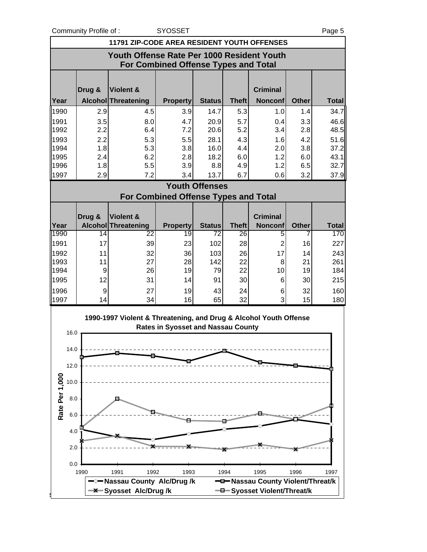Community Profile of : SYOSSET Page 5

| <b>11791 ZIP-CODE AREA RESIDENT YOUTH OFFENSES</b> |                                                                                           |     |                                                                   |                                             |                       |                    |                                                                  |                   |                     |
|----------------------------------------------------|-------------------------------------------------------------------------------------------|-----|-------------------------------------------------------------------|---------------------------------------------|-----------------------|--------------------|------------------------------------------------------------------|-------------------|---------------------|
|                                                    | Youth Offense Rate Per 1000 Resident Youth<br><b>For Combined Offense Types and Total</b> |     |                                                                   |                                             |                       |                    |                                                                  |                   |                     |
|                                                    |                                                                                           |     |                                                                   |                                             |                       |                    | <b>Criminal</b>                                                  |                   |                     |
| Year                                               | Drug &                                                                                    |     | <b>Violent &amp;</b><br>Alcohol Threatening                       | <b>Property</b>                             | <b>Status</b>         | <b>Theft</b>       | <b>Nonconf</b>                                                   | <b>Other</b>      | <b>Total</b>        |
| 1990                                               |                                                                                           | 2.9 | 4.5                                                               | 3.9                                         | 14.7                  | 5.3                | 1.0                                                              | 1.4               | 34.7                |
| 1991                                               |                                                                                           | 3.5 | 8.0                                                               | 4.7                                         | 20.9                  | 5.7                | 0.4                                                              | 3.3               | 46.6                |
| 1992                                               |                                                                                           | 2.2 | 6.4                                                               | 7.2                                         | 20.6                  | 5.2                | 3.4                                                              | 2.8               | 48.5                |
| 1993                                               |                                                                                           | 2.2 | 5.3                                                               | 5.5                                         | 28.1                  | 4.3                | 1.6                                                              | 4.2               | 51.6                |
| 1994                                               |                                                                                           | 1.8 | 5.3                                                               | 3.8                                         | 16.0                  | 4.4                | 2.0                                                              | 3.8               | 37.2                |
| 1995                                               |                                                                                           | 2.4 | 6.2                                                               | 2.8                                         | 18.2                  | 6.0                | 1.2                                                              | 6.0               | 43.1                |
| 1996                                               |                                                                                           | 1.8 | 5.5                                                               | 3.9                                         | 8.8                   | 4.9                | 1.2                                                              | 6.5               | 32.7                |
| 1997                                               |                                                                                           | 2.9 | 7.2                                                               | 3.4                                         | 13.7                  | 6.7                | 0.6                                                              | 3.2               | 37.9                |
|                                                    |                                                                                           |     |                                                                   | <b>For Combined Offense Types and Total</b> | <b>Youth Offenses</b> |                    |                                                                  |                   |                     |
|                                                    |                                                                                           |     |                                                                   |                                             |                       |                    |                                                                  |                   |                     |
|                                                    | Drug &                                                                                    |     | <b>Violent &amp;</b>                                              |                                             |                       |                    | <b>Criminal</b>                                                  |                   |                     |
| Year<br>1990                                       |                                                                                           | 14  | <b>Alcohol Threatening</b><br>22                                  | <b>Property</b><br>19                       | <b>Status</b><br>72   | <b>Theft</b><br>26 | <b>Nonconf</b><br>5                                              | <b>Other</b><br>7 | <b>Total</b><br>170 |
| 1991                                               |                                                                                           | 17  | 39                                                                | 23                                          | 102                   | 28                 | $\overline{2}$                                                   | 16                | 227                 |
| 1992                                               |                                                                                           | 11  | 32                                                                | 36                                          | 103                   | 26                 | 17                                                               | 14                | 243                 |
| 1993                                               |                                                                                           | 11  | 27                                                                | 28                                          | 142                   | 22                 | 8                                                                | 21                | 261                 |
| 1994                                               |                                                                                           | 9   | 26                                                                | 19                                          | 79                    | 22                 | 10                                                               | 19                | 184                 |
| 1995                                               |                                                                                           | 12  | 31                                                                | 14                                          | 91                    | 30                 | 6                                                                | 30                | 215                 |
| 1996                                               |                                                                                           | 9   | 27                                                                | 19                                          | 43                    | 24                 | 6                                                                | 32                | 160                 |
| 1997                                               |                                                                                           | 14  | 34                                                                | 16                                          | 65                    | 32                 | 3                                                                | 15                | 180                 |
|                                                    | 16.0<br>14.0                                                                              |     | 1990-1997 Violent & Threatening, and Drug & Alcohol Youth Offense | <b>Rates in Syosset and Nassau County</b>   |                       |                    |                                                                  |                   |                     |
|                                                    | 12.0                                                                                      |     |                                                                   |                                             |                       |                    |                                                                  |                   |                     |
|                                                    | 10.0                                                                                      |     |                                                                   |                                             |                       |                    |                                                                  |                   |                     |
| Rate Per 1,000                                     | 8.0                                                                                       |     |                                                                   |                                             |                       |                    |                                                                  |                   |                     |
|                                                    | 6.0                                                                                       |     |                                                                   |                                             |                       |                    |                                                                  |                   |                     |
|                                                    | 4.0                                                                                       |     |                                                                   |                                             |                       |                    |                                                                  |                   |                     |
|                                                    | 2.0                                                                                       |     |                                                                   |                                             |                       |                    |                                                                  |                   |                     |
|                                                    | 0.0<br>1990                                                                               |     | 1992<br>1991                                                      | 1993                                        |                       | 1994               | 1995                                                             | 1996              | 1997                |
|                                                    |                                                                                           | x   | Nassau County Alc/Drug /k<br>-Syosset Alc/Drug/k                  |                                             |                       |                    | -D-Nassau County Violent/Threat/k<br>-B-Syosset Violent/Threat/k |                   |                     |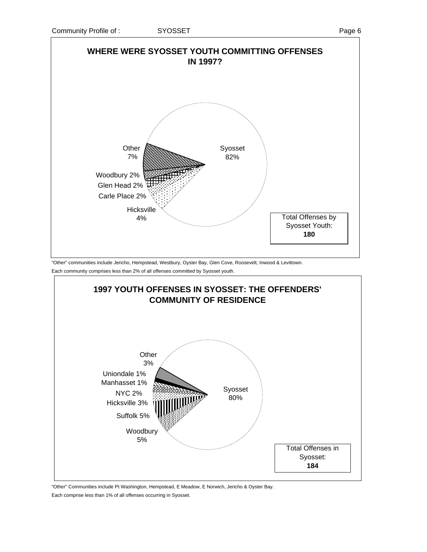

"Other" communities include Jericho, Hempstead, Westbury, Oyster Bay, Glen Cove, Roosevelt, Inwood & Levittown. Each community comprises less than 2% of all offenses committed by Syosset youth.



"Other" Communities include Pt Washington, Hempstead, E Meadow, E Norwich, Jericho & Oyster Bay.

Each comprise less than 1% of all offenses occurring in Syosset.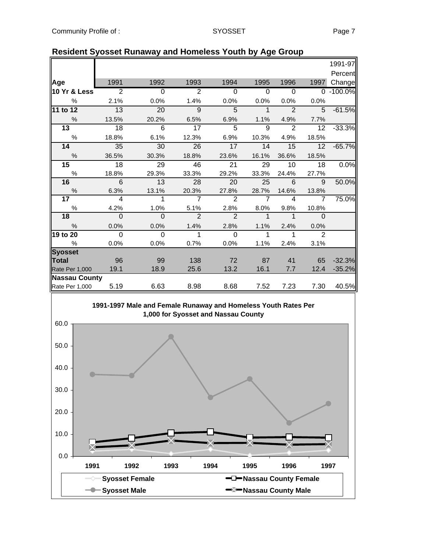|                      |                |                 |                |                | . ت            |                |                |           |
|----------------------|----------------|-----------------|----------------|----------------|----------------|----------------|----------------|-----------|
|                      |                |                 |                |                |                |                |                | 1991-97   |
|                      |                |                 |                |                |                |                |                | Percent   |
| Age                  | 1991           | 1992            | 1993           | 1994           | 1995           | 1996           | 1997           | Change    |
| 10 Yr & Less         | $\overline{2}$ | $\overline{0}$  | 2              | $\mathbf 0$    | $\mathbf 0$    | $\mathbf 0$    | $\Omega$       | $-100.0%$ |
| $\%$                 | 2.1%           | 0.0%            | 1.4%           | 0.0%           | 0.0%           | 0.0%           | 0.0%           |           |
| 11 to 12             | 13             | 20              | 9              | 5              | $\overline{1}$ | $\overline{2}$ | 5              | $-61.5%$  |
| $\frac{0}{0}$        | 13.5%          | 20.2%           | 6.5%           | 6.9%           | 1.1%           | 4.9%           | 7.7%           |           |
| 13                   | 18             | $6\phantom{1}6$ | 17             | 5              | 9              | 2              | 12             | $-33.3%$  |
| $\%$                 | 18.8%          | 6.1%            | 12.3%          | 6.9%           | 10.3%          | 4.9%           | 18.5%          |           |
| 14                   | 35             | 30              | 26             | 17             | 14             | 15             | 12             | $-65.7%$  |
| $\frac{0}{0}$        | 36.5%          | 30.3%           | 18.8%          | 23.6%          | 16.1%          | 36.6%          | 18.5%          |           |
| 15                   | 18             | 29              | 46             | 21             | 29             | 10             | 18             | 0.0%      |
| $\%$                 | 18.8%          | 29.3%           | 33.3%          | 29.2%          | 33.3%          | 24.4%          | 27.7%          |           |
| 16                   | 6              | 13              | 28             | 20             | 25             | 6              | 9              | 50.0%     |
| $\%$                 | 6.3%           | 13.1%           | 20.3%          | 27.8%          | 28.7%          | 14.6%          | 13.8%          |           |
| 17                   | $\overline{4}$ | 1               | $\overline{7}$ | 2              | $\overline{7}$ | 4              | $\overline{7}$ | 75.0%     |
| $\%$                 | 4.2%           | 1.0%            | 5.1%           | 2.8%           | 8.0%           | 9.8%           | 10.8%          |           |
| 18                   | $\overline{0}$ | $\overline{0}$  | $\overline{2}$ | $\overline{2}$ | $\mathbf{1}$   | $\mathbf 1$    | $\Omega$       |           |
| $\frac{0}{0}$        | 0.0%           | 0.0%            | 1.4%           | 2.8%           | 1.1%           | 2.4%           | 0.0%           |           |
| 19 to 20             | $\overline{0}$ | $\overline{0}$  | 1              | $\Omega$       | 1              | 1              | $\overline{2}$ |           |
| %                    | 0.0%           | 0.0%            | 0.7%           | 0.0%           | 1.1%           | 2.4%           | 3.1%           |           |
| <b>Syosset</b>       |                |                 |                |                |                |                |                |           |
| <b>Total</b>         | 96             | 99              | 138            | 72             | 87             | 41             | 65             | $-32.3%$  |
| Rate Per 1,000       | 19.1           | 18.9            | 25.6           | 13.2           | 16.1           | 7.7            | 12.4           | $-35.2%$  |
| <b>Nassau County</b> |                |                 |                |                |                |                |                |           |
| Rate Per 1,000       | 5.19           | 6.63            | 8.98           | 8.68           | 7.52           | 7.23           | 7.30           | 40.5%     |

#### **Resident Syosset Runaway and Homeless Youth by Age Group**

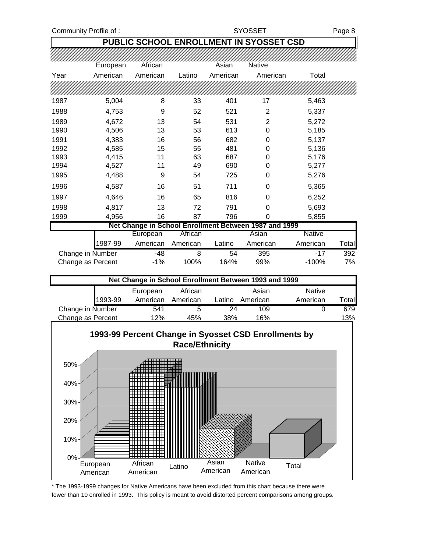Community Profile of : SYOSSET Page 8

#### **PUBLIC SCHOOL ENROLLMENT IN SYOSSET CSD**

|      | European          | African  |          | Asian    | <b>Native</b>                                         |               |       |
|------|-------------------|----------|----------|----------|-------------------------------------------------------|---------------|-------|
| Year | American          | American | Latino   | American | American                                              | Total         |       |
|      |                   |          |          |          |                                                       |               |       |
| 1987 | 5,004             | 8        | 33       | 401      | 17                                                    | 5,463         |       |
| 1988 | 4,753             | 9        | 52       | 521      | $\overline{2}$                                        | 5,337         |       |
| 1989 | 4,672             | 13       | 54       | 531      | $\overline{2}$                                        | 5,272         |       |
| 1990 | 4,506             | 13       | 53       | 613      | 0                                                     | 5,185         |       |
| 1991 | 4,383             | 16       | 56       | 682      | 0                                                     | 5,137         |       |
| 1992 | 4,585             | 15       | 55       | 481      | 0                                                     | 5,136         |       |
| 1993 | 4,415             | 11       | 63       | 687      | 0                                                     | 5,176         |       |
| 1994 | 4,527             | 11       | 49       | 690      | 0                                                     | 5,277         |       |
| 1995 | 4,488             | 9        | 54       | 725      | 0                                                     | 5,276         |       |
| 1996 | 4,587             | 16       | 51       | 711      | 0                                                     | 5,365         |       |
| 1997 | 4,646             | 16       | 65       | 816      | 0                                                     | 6,252         |       |
| 1998 | 4,817             | 13       | 72       | 791      | 0                                                     | 5,693         |       |
| 1999 | 4,956             | 16       | 87       | 796      | 0                                                     | 5,855         |       |
|      |                   |          |          |          | Net Change in School Enrollment Between 1987 and 1999 |               |       |
|      |                   | European | African  |          | Asian                                                 | <b>Native</b> |       |
|      | 1987-99           | American | American | Latino   | American                                              | American      | Total |
|      | Change in Number  | $-48$    | 8        | 54       | 395                                                   | $-17$         | 392   |
|      | Change as Percent | $-1%$    | 100%     | 164%     | 99%                                                   | $-100%$       | 7%    |
|      |                   |          |          |          | Net Change in School Enrollment Between 1993 and 1999 |               |       |
|      |                   | European | African  |          | Asian                                                 | Native        |       |
|      | 1993-99           | American | American | Latino   | American                                              | American      | Total |



\* The 1993-1999 changes for Native Americans have been excluded from this chart because there were fewer than 10 enrolled in 1993. This policy is meant to avoid distorted percent comparisons among groups.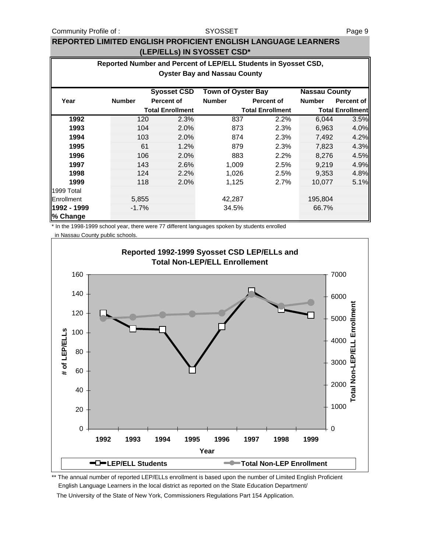#### SYOSSET

#### **REPORTED LIMITED ENGLISH PROFICIENT ENGLISH LANGUAGE LEARNERS (LEP/ELLs) IN SYOSSET CSD\***

|             |                                                   | Reported Number and Percent of LEP/ELL Students in Syosset CSD, |                                     |                         |               |                         |  |  |  |
|-------------|---------------------------------------------------|-----------------------------------------------------------------|-------------------------------------|-------------------------|---------------|-------------------------|--|--|--|
|             |                                                   |                                                                 | <b>Oyster Bay and Nassau County</b> |                         |               |                         |  |  |  |
|             | <b>Town of Oyster Bay</b><br><b>Nassau County</b> |                                                                 |                                     |                         |               |                         |  |  |  |
| Year        | <b>Number</b>                                     | <b>Syosset CSD</b><br><b>Percent of</b>                         | <b>Number</b>                       | <b>Percent of</b>       | <b>Number</b> | <b>Percent of</b>       |  |  |  |
|             |                                                   | <b>Total Enrollment</b>                                         |                                     | <b>Total Enrollment</b> |               | <b>Total Enrollment</b> |  |  |  |
| 1992        | 120                                               | 2.3%                                                            | 837                                 | 2.2%                    | 6,044         | 3.5%                    |  |  |  |
| 1993        | 104                                               | 2.0%                                                            | 873                                 | 2.3%                    | 6,963         | 4.0%                    |  |  |  |
| 1994        | 103                                               | 2.0%                                                            | 874                                 | 2.3%                    | 7,492         | 4.2%                    |  |  |  |
| 1995        | 61                                                | 1.2%                                                            | 879                                 | 2.3%                    | 7,823         | 4.3%                    |  |  |  |
| 1996        | 106                                               | 2.0%                                                            | 883                                 | 2.2%                    | 8,276         | 4.5%                    |  |  |  |
| 1997        | 143                                               | 2.6%                                                            | 1.009                               | 2.5%                    | 9,219         | 4.9%                    |  |  |  |
| 1998        | 124                                               | 2.2%                                                            | 1,026                               | 2.5%                    | 9,353         | 4.8%                    |  |  |  |
| 1999        | 118                                               | 2.0%                                                            | 1,125                               | 2.7%                    | 10.077        | 5.1%                    |  |  |  |
| 1999 Total  |                                                   |                                                                 |                                     |                         |               |                         |  |  |  |
| Enrollment  | 5,855                                             |                                                                 | 42,287                              |                         | 195,804       |                         |  |  |  |
| 1992 - 1999 | $-1.7%$                                           |                                                                 | 34.5%                               |                         | 66.7%         |                         |  |  |  |
| % Change    |                                                   |                                                                 |                                     |                         |               |                         |  |  |  |

\* In the 1998-1999 school year, there were 77 different languages spoken by students enrolled

in Nassau County public schools.



\*\* The annual number of reported LEP/ELLs enrollment is based upon the number of Limited English Proficient English Language Learners in the local district as reported on the State Education Department/

The University of the State of New York, Commissioners Regulations Part 154 Application.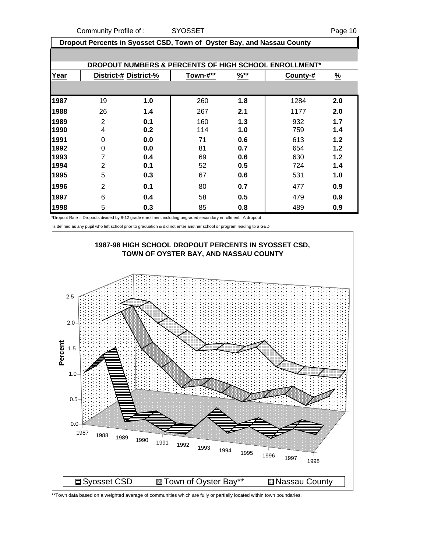Community Profile of : SYOSSET And Development of the Page 10

| Dropout Percents in Syosset CSD, Town of Oyster Bay, and Nassau County |                |                       |          |                  |                                                       |          |  |
|------------------------------------------------------------------------|----------------|-----------------------|----------|------------------|-------------------------------------------------------|----------|--|
|                                                                        |                |                       |          |                  |                                                       |          |  |
|                                                                        |                |                       |          |                  | DROPOUT NUMBERS & PERCENTS OF HIGH SCHOOL ENROLLMENT* |          |  |
| Year                                                                   |                | District-# District-% | Town-#** | $\frac{96**}{8}$ | County-#                                              | <u>%</u> |  |
|                                                                        |                |                       |          |                  |                                                       |          |  |
| 1987                                                                   | 19             | 1.0                   | 260      | 1.8              | 1284                                                  | 2.0      |  |
| 1988                                                                   | 26             | 1.4                   | 267      | 2.1              | 1177                                                  | 2.0      |  |
| 1989                                                                   | 2              | 0.1                   | 160      | 1.3              | 932                                                   | 1.7      |  |
| 1990                                                                   | 4              | 0.2                   | 114      | 1.0              | 759                                                   | 1.4      |  |
| 1991                                                                   | $\Omega$       | 0.0                   | 71       | 0.6              | 613                                                   | 1.2      |  |
| 1992                                                                   | 0              | 0.0                   | 81       | 0.7              | 654                                                   | 1.2      |  |
| 1993                                                                   |                | 0.4                   | 69       | 0.6              | 630                                                   | 1.2      |  |
| 1994                                                                   | $\overline{2}$ | 0.1                   | 52       | 0.5              | 724                                                   | 1.4      |  |
| 1995                                                                   | 5              | 0.3                   | 67       | 0.6              | 531                                                   | 1.0      |  |
| 1996                                                                   | 2              | 0.1                   | 80       | 0.7              | 477                                                   | 0.9      |  |
| 1997                                                                   | 6              | 0.4                   | 58       | 0.5              | 479                                                   | 0.9      |  |
| 1998                                                                   | 5              | 0.3                   | 85       | 0.8              | 489                                                   | 0.9      |  |

\*Dropout Rate = Dropouts divided by 9-12 grade enrollment including ungraded secondary enrollment. A dropout

is defined as any pupil who left school prior to graduation & did not enter another school or program leading to a GED.



\*\*Town data based on a weighted average of communities which are fully or partially located within town boundaries.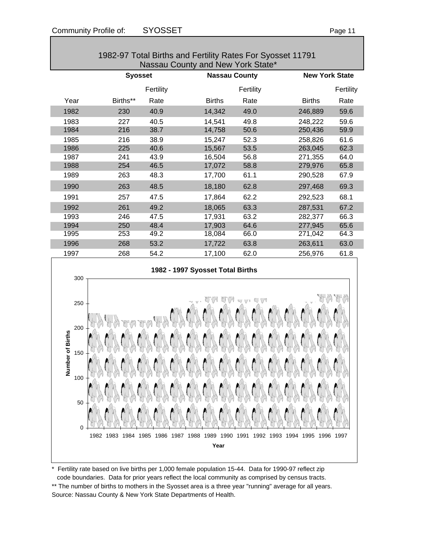0

50

100

| Nassau County and New York State*     |                |           |                                  |           |               |                       |  |
|---------------------------------------|----------------|-----------|----------------------------------|-----------|---------------|-----------------------|--|
|                                       | <b>Syosset</b> |           | <b>Nassau County</b>             |           |               | <b>New York State</b> |  |
|                                       |                | Fertility |                                  | Fertility |               | Fertility             |  |
| Year                                  | Births**       | Rate      | <b>Births</b>                    | Rate      | <b>Births</b> | Rate                  |  |
| 1982                                  | 230            | 40.9      | 14,342                           | 49.0      | 246,889       | 59.6                  |  |
| 1983                                  | 227            | 40.5      | 14,541                           | 49.8      | 248,222       | 59.6                  |  |
| 1984                                  | 216            | 38.7      | 14,758                           | 50.6      | 250,436       | 59.9                  |  |
| 1985                                  | 216            | 38.9      | 15,247                           | 52.3      | 258,826       | 61.6                  |  |
| 1986                                  | 225            | 40.6      | 15,567                           | 53.5      | 263,045       | 62.3                  |  |
| 1987                                  | 241            | 43.9      | 16,504                           | 56.8      | 271,355       | 64.0                  |  |
| 1988                                  | 254            | 46.5      | 17,072                           | 58.8      | 279,976       | 65.8                  |  |
| 1989                                  | 263            | 48.3      | 17,700                           | 61.1      | 290,528       | 67.9                  |  |
| 1990                                  | 263            | 48.5      | 18,180                           | 62.8      | 297,468       | 69.3                  |  |
| 1991                                  | 257            | 47.5      | 17,864                           | 62.2      | 292,523       | 68.1                  |  |
| 1992                                  | 261            | 49.2      | 18,065                           | 63.3      | 287,531       | 67.2                  |  |
| 1993                                  | 246            | 47.5      | 17,931                           | 63.2      | 282,377       | 66.3                  |  |
| 1994                                  | 250            | 48.4      | 17,903                           | 64.6      | 277,945       | 65.6                  |  |
| 1995                                  | 253            | 49.2      | 18,084                           | 66.0      | 271,042       | 64.3                  |  |
| 1996                                  | 268            | 53.2      | 17,722                           | 63.8      | 263,611       | 63.0                  |  |
| 1997                                  | 268            | 54.2      | 17,100                           | 62.0      | 256,976       | 61.8                  |  |
| 300                                   |                |           | 1982 - 1997 Syosset Total Births |           |               |                       |  |
| 250<br>200<br>Number of Births<br>150 |                |           | r<br>YV                          | WVVWV     |               |                       |  |

# 1982-97 Total Births and Fertility Rates For Syosset 11791

\* Fertility rate based on live births per 1,000 female population 15-44. Data for 1990-97 reflect zip code boundaries. Data for prior years reflect the local community as comprised by census tracts.

1982 1983 1984 1985 1986 1987 1988 1989 1990 1991 1992 1993 1994 1995 1996 1997 **Year**

\*\* The number of births to mothers in the Syosset area is a three year "running" average for all years. Source: Nassau County & New York State Departments of Health.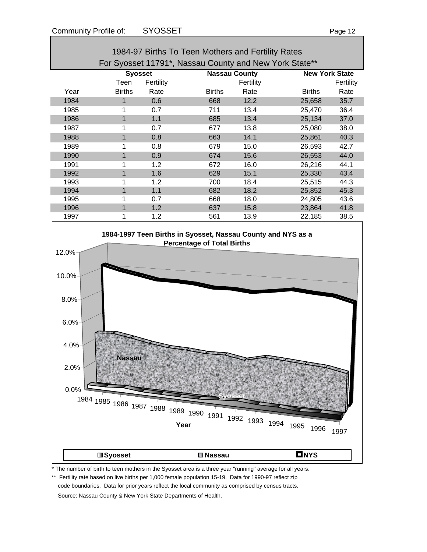| c<br>ـ،<br>۰. |  |
|---------------|--|
|               |  |

| 1984-97 Births To Teen Mothers and Fertility Rates     |                      |           |                      |           |               |                       |  |
|--------------------------------------------------------|----------------------|-----------|----------------------|-----------|---------------|-----------------------|--|
| For Syosset 11791*, Nassau County and New York State** |                      |           |                      |           |               |                       |  |
|                                                        | <b>Syosset</b>       |           | <b>Nassau County</b> |           |               | <b>New York State</b> |  |
|                                                        | Teen                 | Fertility |                      | Fertility |               | Fertility             |  |
| Year                                                   | <b>Births</b>        | Rate      | <b>Births</b>        | Rate      | <b>Births</b> | Rate                  |  |
| 1984                                                   | 1                    | 0.6       | 668                  | 12.2      | 25,658        | 35.7                  |  |
| 1985                                                   | 1                    | 0.7       | 711                  | 13.4      | 25.470        | 36.4                  |  |
| 1986                                                   | 1                    | 1.1       | 685                  | 13.4      | 25,134        | 37.0                  |  |
| 1987                                                   |                      | 0.7       | 677                  | 13.8      | 25,080        | 38.0                  |  |
| 1988                                                   | $\blacktriangleleft$ | 0.8       | 663                  | 14.1      | 25,861        | 40.3                  |  |
| 1989                                                   | 1                    | 0.8       | 679                  | 15.0      | 26,593        | 42.7                  |  |
| 1990                                                   | 1                    | 0.9       | 674                  | 15.6      | 26,553        | 44.0                  |  |
| 1991                                                   | 1                    | 1.2       | 672                  | 16.0      | 26,216        | 44.1                  |  |
| 1992                                                   | 1                    | 1.6       | 629                  | 15.1      | 25,330        | 43.4                  |  |
| 1993                                                   |                      | 1.2       | 700                  | 18.4      | 25,515        | 44.3                  |  |
| 1994                                                   | 1                    | 1.1       | 682                  | 18.2      | 25,852        | 45.3                  |  |
| 1995                                                   |                      | 0.7       | 668                  | 18.0      | 24,805        | 43.6                  |  |
| 1996                                                   | 1                    | 1.2       | 637                  | 15.8      | 23,864        | 41.8                  |  |
| 1997                                                   | 1                    | 1.2       | 561                  | 13.9      | 22,185        | 38.5                  |  |



\* The number of birth to teen mothers in the Syosset area is a three year "running" average for all years.

\*\* Fertility rate based on live births per 1,000 female population 15-19. Data for 1990-97 reflect zip code boundaries. Data for prior years reflect the local community as comprised by census tracts. Source: Nassau County & New York State Departments of Health.